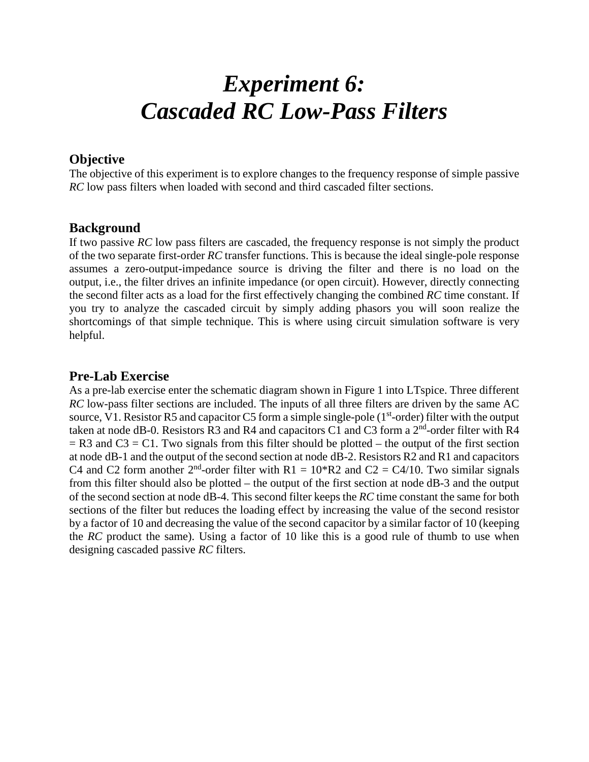# *Experiment 6: Cascaded RC Low-Pass Filters*

## **Objective**

The objective of this experiment is to explore changes to the frequency response of simple passive *RC* low pass filters when loaded with second and third cascaded filter sections.

### **Background**

If two passive *RC* low pass filters are cascaded, the frequency response is not simply the product of the two separate first-order *RC* transfer functions. This is because the ideal single-pole response assumes a zero-output-impedance source is driving the filter and there is no load on the output, i.e., the filter drives an infinite impedance (or open circuit). However, directly connecting the second filter acts as a load for the first effectively changing the combined *RC* time constant. If you try to analyze the cascaded circuit by simply adding phasors you will soon realize the shortcomings of that simple technique. This is where using circuit simulation software is very helpful.

## **Pre-Lab Exercise**

As a pre-lab exercise enter the schematic diagram shown in Figure 1 into LTspice. Three different *RC* low-pass filter sections are included. The inputs of all three filters are driven by the same AC source, V1. Resistor R5 and capacitor C5 form a simple single-pole ( $1<sup>st</sup>$ -order) filter with the output taken at node dB-0. Resistors R3 and R4 and capacitors C1 and C3 form a  $2<sup>nd</sup>$ -order filter with R4  $=$  R3 and C3  $=$  C1. Two signals from this filter should be plotted – the output of the first section at node dB-1 and the output of the second section at node dB-2. Resistors R2 and R1 and capacitors C4 and C2 form another  $2<sup>nd</sup>$ -order filter with R1 = 10\*R2 and C2 = C4/10. Two similar signals from this filter should also be plotted – the output of the first section at node dB-3 and the output of the second section at node dB-4. This second filter keeps the *RC* time constant the same for both sections of the filter but reduces the loading effect by increasing the value of the second resistor by a factor of 10 and decreasing the value of the second capacitor by a similar factor of 10 (keeping the *RC* product the same). Using a factor of 10 like this is a good rule of thumb to use when designing cascaded passive *RC* filters.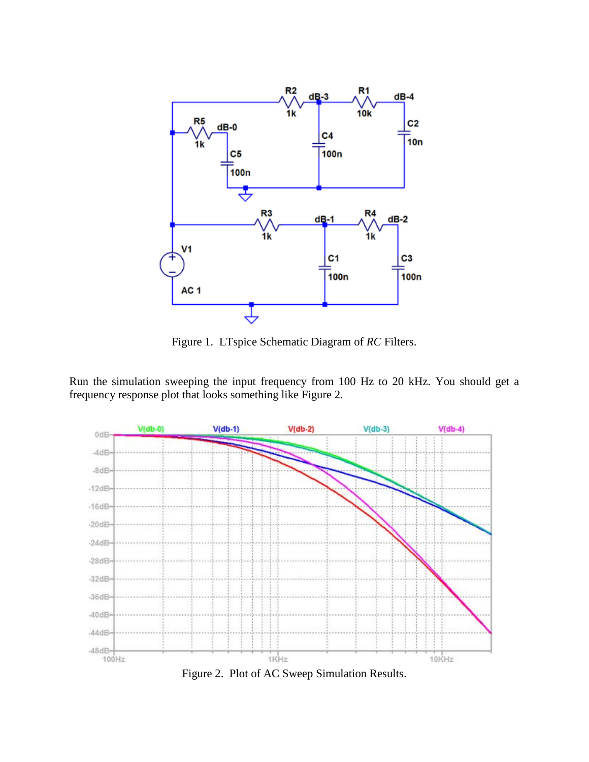

Figure 1. LTspice Schematic Diagram of *RC* Filters.

Run the simulation sweeping the input frequency from 100 Hz to 20 kHz. You should get a frequency response plot that looks something like Figure 2.



Figure 2. Plot of AC Sweep Simulation Results.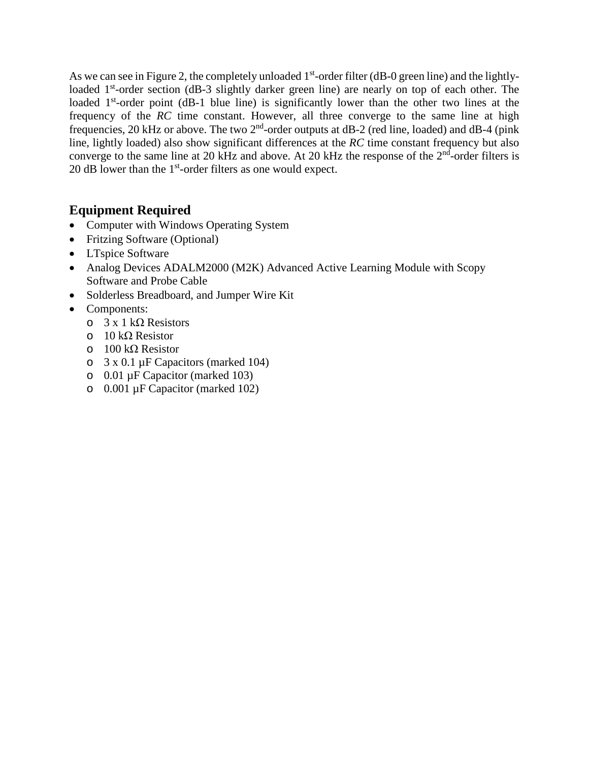As we can see in Figure 2, the completely unloaded 1<sup>st</sup>-order filter (dB-0 green line) and the lightlyloaded 1<sup>st</sup>-order section (dB-3 slightly darker green line) are nearly on top of each other. The loaded 1<sup>st</sup>-order point (dB-1 blue line) is significantly lower than the other two lines at the frequency of the *RC* time constant. However, all three converge to the same line at high frequencies, 20 kHz or above. The two  $2<sup>nd</sup>$ -order outputs at dB-2 (red line, loaded) and dB-4 (pink line, lightly loaded) also show significant differences at the *RC* time constant frequency but also converge to the same line at 20 kHz and above. At 20 kHz the response of the  $2<sup>nd</sup>$ -order filters is 20 dB lower than the  $1<sup>st</sup>$ -order filters as one would expect.

# **Equipment Required**

- Computer with Windows Operating System
- Fritzing Software (Optional)
- LTspice Software
- Analog Devices ADALM2000 (M2K) Advanced Active Learning Module with Scopy Software and Probe Cable
- Solderless Breadboard, and Jumper Wire Kit
- Components:
	- o 3 x 1 kΩ Resistors
	- o 10 kΩ Resistor
	- o 100 kΩ Resistor
	- o 3 x 0.1 µF Capacitors (marked 104)
	- o 0.01 µF Capacitor (marked 103)
	- o 0.001 µF Capacitor (marked 102)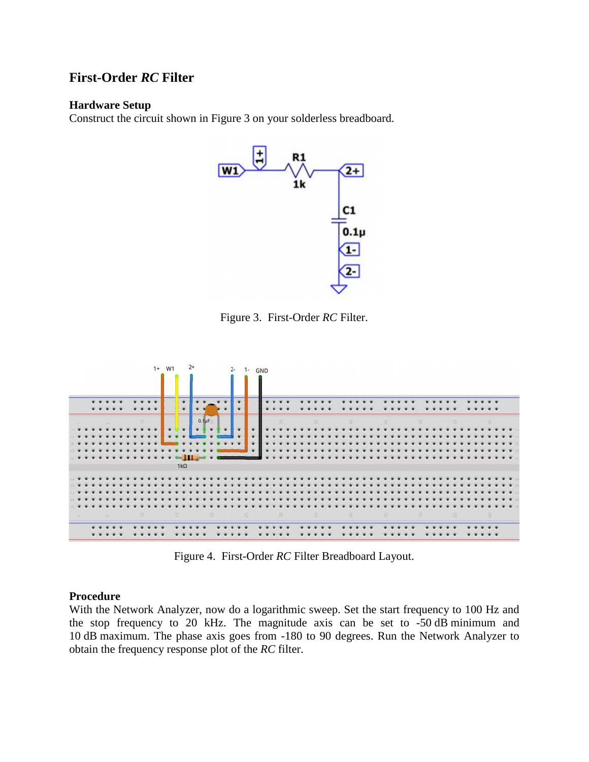# **First-Order** *RC* **Filter**

#### **Hardware Setup**

Construct the circuit shown in Figure 3 on your solderless breadboard.



Figure 3. First-Order *RC* Filter.



Figure 4. First-Order *RC* Filter Breadboard Layout.

#### **Procedure**

With the Network Analyzer, now do a logarithmic sweep. Set the start frequency to 100 Hz and the stop frequency to 20 kHz. The magnitude axis can be set to -50 dB minimum and 10 dB maximum. The phase axis goes from -180 to 90 degrees. Run the Network Analyzer to obtain the frequency response plot of the *RC* filter.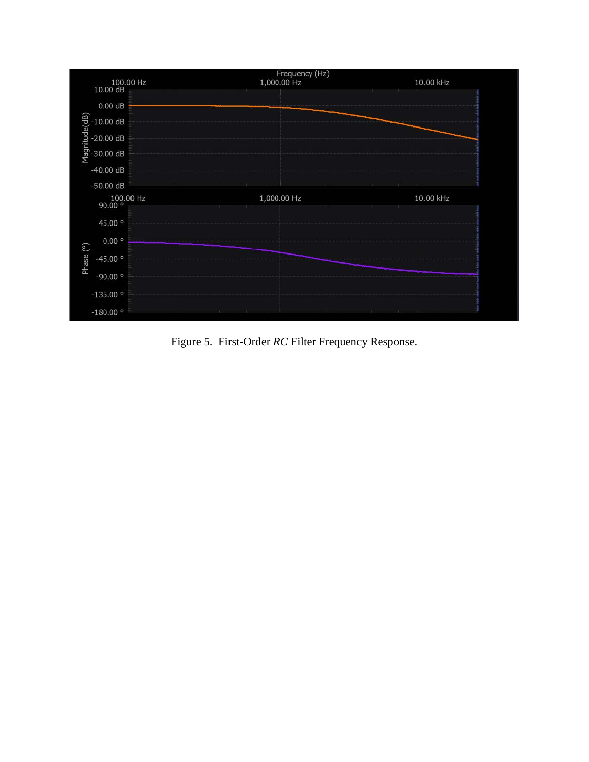

Figure 5. First-Order *RC* Filter Frequency Response.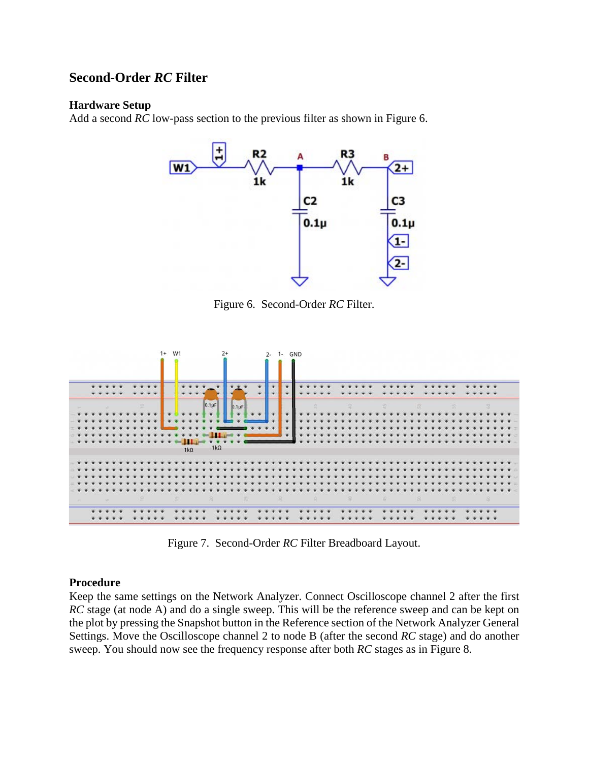## **Second-Order** *RC* **Filter**

#### **Hardware Setup**

Add a second *RC* low-pass section to the previous filter as shown in Figure 6.



Figure 6. Second-Order *RC* Filter.



Figure 7. Second-Order *RC* Filter Breadboard Layout.

### **Procedure**

Keep the same settings on the Network Analyzer. Connect Oscilloscope channel 2 after the first *RC* stage (at node A) and do a single sweep. This will be the reference sweep and can be kept on the plot by pressing the Snapshot button in the Reference section of the Network Analyzer General Settings. Move the Oscilloscope channel 2 to node B (after the second *RC* stage) and do another sweep. You should now see the frequency response after both *RC* stages as in Figure 8.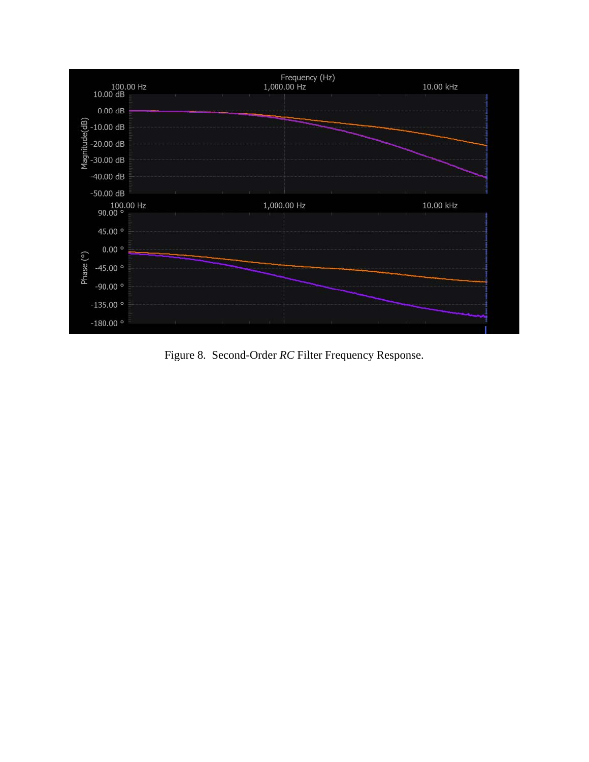

Figure 8. Second-Order *RC* Filter Frequency Response.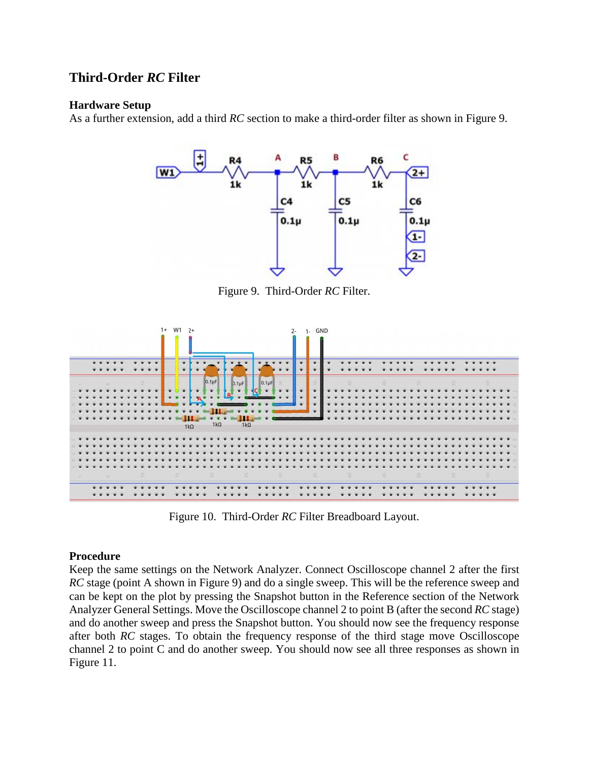## **Third-Order** *RC* **Filter**

#### **Hardware Setup**

As a further extension, add a third *RC* section to make a third-order filter as shown in Figure 9.



Figure 9. Third-Order *RC* Filter.



Figure 10. Third-Order *RC* Filter Breadboard Layout.

#### **Procedure**

Keep the same settings on the Network Analyzer. Connect Oscilloscope channel 2 after the first *RC* stage (point A shown in Figure 9) and do a single sweep. This will be the reference sweep and can be kept on the plot by pressing the Snapshot button in the Reference section of the Network Analyzer General Settings. Move the Oscilloscope channel 2 to point B (after the second *RC* stage) and do another sweep and press the Snapshot button. You should now see the frequency response after both *RC* stages. To obtain the frequency response of the third stage move Oscilloscope channel 2 to point C and do another sweep. You should now see all three responses as shown in Figure 11.